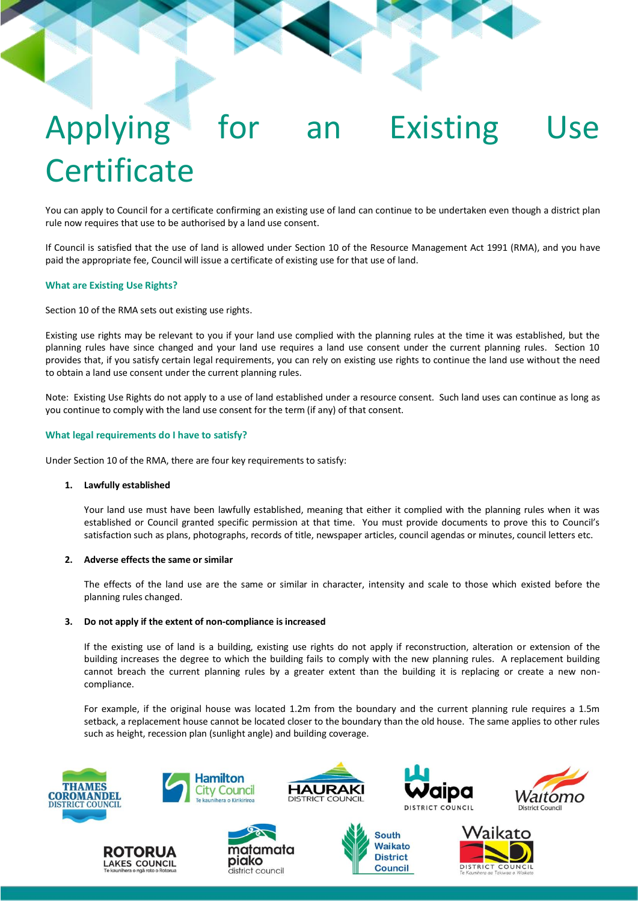# Applying for an Existing Use **Certificate**

You can apply to Council for a certificate confirming an existing use of land can continue to be undertaken even though a district plan rule now requires that use to be authorised by a land use consent.

If Council is satisfied that the use of land is allowed under Section 10 of the Resource Management Act 1991 (RMA), and you have paid the appropriate fee, Council will issue a certificate of existing use for that use of land.

# **What are Existing Use Rights?**

Section 10 of the RMA sets out existing use rights.

Existing use rights may be relevant to you if your land use complied with the planning rules at the time it was established, but the planning rules have since changed and your land use requires a land use consent under the current planning rules. Section 10 provides that, if you satisfy certain legal requirements, you can rely on existing use rights to continue the land use without the need to obtain a land use consent under the current planning rules.

Note: Existing Use Rights do not apply to a use of land established under a resource consent. Such land uses can continue as long as you continue to comply with the land use consent for the term (if any) of that consent.

# **What legal requirements do I have to satisfy?**

Under Section 10 of the RMA, there are four key requirements to satisfy:

# **1. Lawfully established**

Your land use must have been lawfully established, meaning that either it complied with the planning rules when it was established or Council granted specific permission at that time. You must provide documents to prove this to Council's satisfaction such as plans, photographs, records of title, newspaper articles, council agendas or minutes, council letters etc.

#### **2. Adverse effects the same or similar**

The effects of the land use are the same or similar in character, intensity and scale to those which existed before the planning rules changed.

#### **3. Do not apply if the extent of non-compliance is increased**

If the existing use of land is a building, existing use rights do not apply if reconstruction, alteration or extension of the building increases the degree to which the building fails to comply with the new planning rules. A replacement building cannot breach the current planning rules by a greater extent than the building it is replacing or create a new noncompliance.

For example, if the original house was located 1.2m from the boundary and the current planning rule requires a 1.5m setback, a replacement house cannot be located closer to the boundary than the old house. The same applies to other rules such as height, recession plan (sunlight angle) and building coverage.







**Hamilton** 

**City Council** 





**South Waikato** 

**District** 

**Council** 



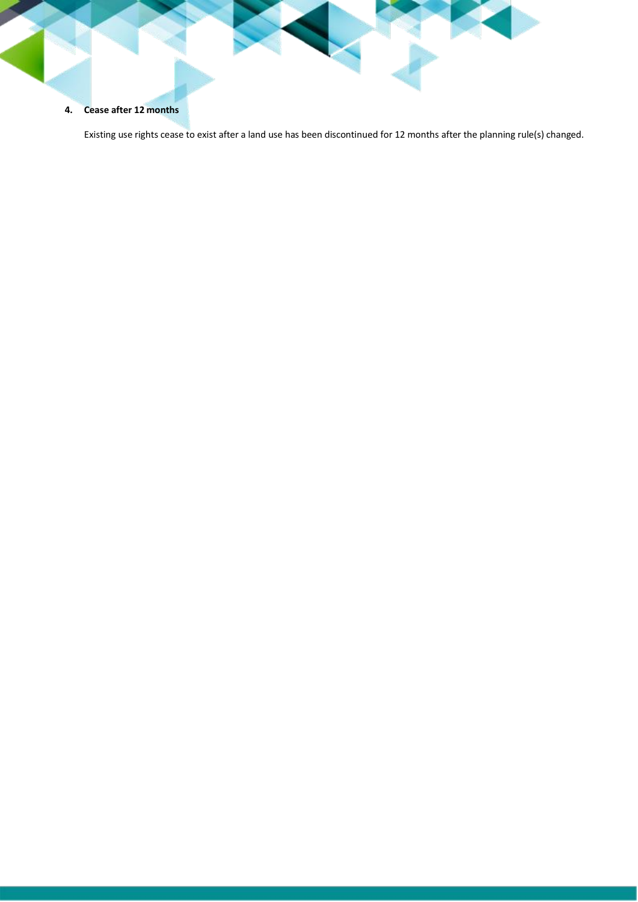# **4. Cease after 12 months**

Existing use rights cease to exist after a land use has been discontinued for 12 months after the planning rule(s) changed.